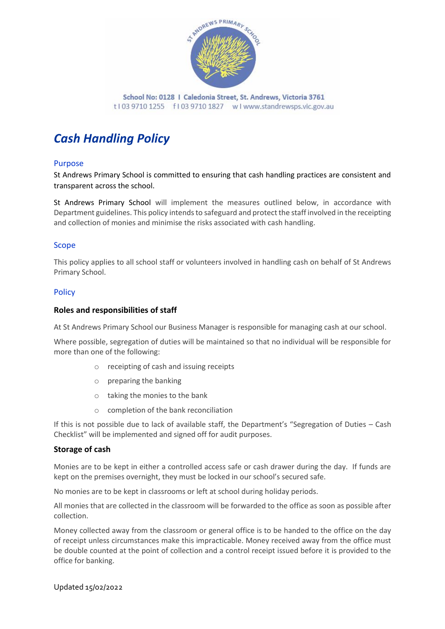

# *Cash Handling Policy*

# Purpose

St Andrews Primary School is committed to ensuring that cash handling practices are consistent and transparent across the school.

St Andrews Primary School will implement the measures outlined below, in accordance with Department guidelines. This policy intends to safeguard and protect the staff involved in the receipting and collection of monies and minimise the risks associated with cash handling.

# Scope

This policy applies to all school staff or volunteers involved in handling cash on behalf of St Andrews Primary School.

# **Policy**

## **Roles and responsibilities of staff**

At St Andrews Primary School our Business Manager is responsible for managing cash at our school.

Where possible, segregation of duties will be maintained so that no individual will be responsible for more than one of the following:

- o receipting of cash and issuing receipts
- o preparing the banking
- o taking the monies to the bank
- o completion of the bank reconciliation

If this is not possible due to lack of available staff, the Department's "Segregation of Duties – Cash Checklist" will be implemented and signed off for audit purposes.

# **Storage of cash**

Monies are to be kept in either a controlled access safe or cash drawer during the day. If funds are kept on the premises overnight, they must be locked in our school's secured safe.

No monies are to be kept in classrooms or left at school during holiday periods.

All monies that are collected in the classroom will be forwarded to the office as soon as possible after collection.

Money collected away from the classroom or general office is to be handed to the office on the day of receipt unless circumstances make this impracticable. Money received away from the office must be double counted at the point of collection and a control receipt issued before it is provided to the office for banking.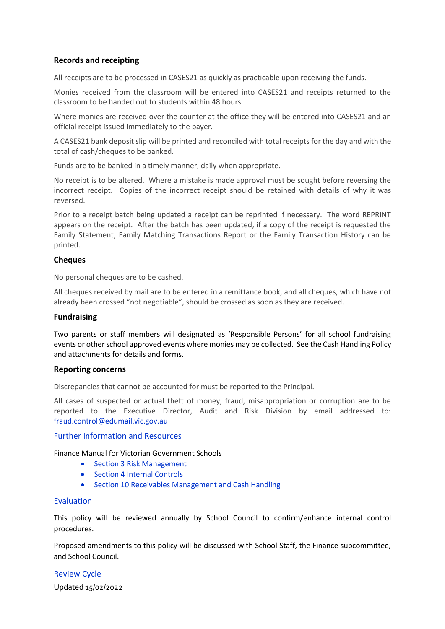## **Records and receipting**

All receipts are to be processed in CASES21 as quickly as practicable upon receiving the funds.

Monies received from the classroom will be entered into CASES21 and receipts returned to the classroom to be handed out to students within 48 hours.

Where monies are received over the counter at the office they will be entered into CASES21 and an official receipt issued immediately to the payer.

A CASES21 bank deposit slip will be printed and reconciled with total receipts for the day and with the total of cash/cheques to be banked.

Funds are to be banked in a timely manner, daily when appropriate.

No receipt is to be altered. Where a mistake is made approval must be sought before reversing the incorrect receipt. Copies of the incorrect receipt should be retained with details of why it was reversed.

Prior to a receipt batch being updated a receipt can be reprinted if necessary. The word REPRINT appears on the receipt. After the batch has been updated, if a copy of the receipt is requested the Family Statement, Family Matching Transactions Report or the Family Transaction History can be printed.

## **Cheques**

No personal cheques are to be cashed.

All cheques received by mail are to be entered in a remittance book, and all cheques, which have not already been crossed "not negotiable", should be crossed as soon as they are received.

## **Fundraising**

Two parents or staff members will designated as 'Responsible Persons' for all school fundraising events or other school approved events where monies may be collected. See the Cash Handling Policy and attachments for details and forms.

## **Reporting concerns**

Discrepancies that cannot be accounted for must be reported to the Principal.

All cases of suspected or actual theft of money, fraud, misappropriation or corruption are to be reported to the Executive Director, Audit and Risk Division by email addressed to: [fraud.control@edumail.vic.gov.au](mailto:fraud.control@edumail.vic.gov.au%0D%20%20%20%20%20%20or)

### Further Information and Resources

Finance Manual for Victorian Government Schools

- [Section 3 Risk Management](https://www2.education.vic.gov.au/pal/risk-management-finance-manual-section-3/policy)
- [Section 4 Internal Controls](https://www2.education.vic.gov.au/pal/internal-controls-finance-manual-section-4/policy)
- [Section 10 Receivables Management and Cash Handling](https://www2.education.vic.gov.au/pal/receivables-management-and-cash-handling-finance-manual-section-10/policy)

#### Evaluation

This policy will be reviewed annually by School Council to confirm/enhance internal control procedures.

Proposed amendments to this policy will be discussed with School Staff, the Finance subcommittee, and School Council.

Updated 15/02/2022 Review Cycle